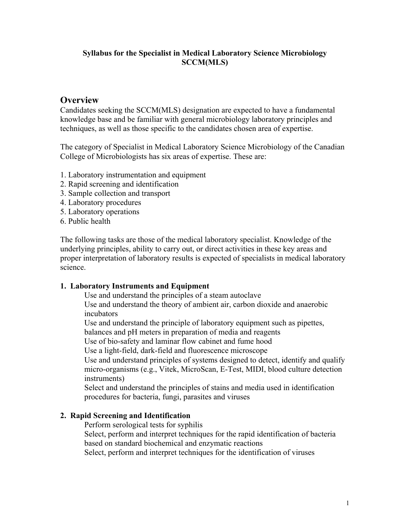### **Syllabus for the Specialist in Medical Laboratory Science Microbiology SCCM(MLS)**

## **Overview**

Candidates seeking the SCCM(MLS) designation are expected to have a fundamental knowledge base and be familiar with general microbiology laboratory principles and techniques, as well as those specific to the candidates chosen area of expertise.

The category of Specialist in Medical Laboratory Science Microbiology of the Canadian College of Microbiologists has six areas of expertise. These are:

- 1. Laboratory instrumentation and equipment
- 2. Rapid screening and identification
- 3. Sample collection and transport
- 4. Laboratory procedures
- 5. Laboratory operations
- 6. Public health

The following tasks are those of the medical laboratory specialist. Knowledge of the underlying principles, ability to carry out, or direct activities in these key areas and proper interpretation of laboratory results is expected of specialists in medical laboratory science.

### **1. Laboratory Instruments and Equipment**

Use and understand the principles of a steam autoclave

Use and understand the theory of ambient air, carbon dioxide and anaerobic incubators

Use and understand the principle of laboratory equipment such as pipettes,

balances and pH meters in preparation of media and reagents

Use of bio-safety and laminar flow cabinet and fume hood

Use a light-field, dark-field and fluorescence microscope

Use and understand principles of systems designed to detect, identify and qualify micro-organisms (e.g., Vitek, MicroScan, E-Test, MIDI, blood culture detection instruments)

Select and understand the principles of stains and media used in identification procedures for bacteria, fungi, parasites and viruses

### **2. Rapid Screening and Identification**

Perform serological tests for syphilis

Select, perform and interpret techniques for the rapid identification of bacteria based on standard biochemical and enzymatic reactions

Select, perform and interpret techniques for the identification of viruses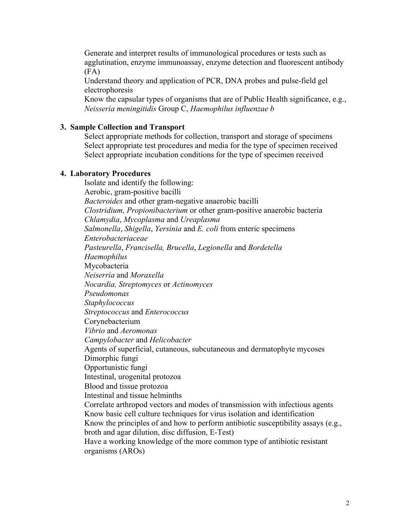Generate and interpret results of immunological procedures or tests such as agglutination, enzyme immunoassay, enzyme detection and fluorescent antibody (FA)

Understand theory and application of PCR, DNA probes and pulse-field gel electrophoresis

Know the capsular types of organisms that are of Public Health significance, e.g., *Neisseria meningitidis* Group C, *Haemophilus influenzae b* 

#### **3. Sample Collection and Transport**

Select appropriate methods for collection, transport and storage of specimens Select appropriate test procedures and media for the type of specimen received Select appropriate incubation conditions for the type of specimen received

#### **4. Laboratory Procedures**

Isolate and identify the following: Aerobic, gram-positive bacilli *Bacteroides* and other gram-negative anaerobic bacilli *Clostridium, Propionibacterium* or other gram-positive anaerobic bacteria *Chlamydia*, *Mycoplasma* and *Ureaplasma Salmonella*, *Shigella*, *Yersinia* and *E. coli* from enteric specimens *Enterobacteriaceae Pasteurella*, *Francisella, Brucella*, *Legionella* and *Bordetella Haemophilus*  Mycobacteria *Neiserria* and *Moraxella Nocardia, Streptomyces* or *Actinomyces Pseudomonas Staphylococcus Streptococcus* and *Enterococcus* Corynebacterium *Vibrio* and *Aeromonas Campylobacter* and *Helicobacter* Agents of superficial, cutaneous, subcutaneous and dermatophyte mycoses Dimorphic fungi Opportunistic fungi Intestinal, urogenital protozoa Blood and tissue protozoa Intestinal and tissue helminths Correlate arthropod vectors and modes of transmission with infectious agents Know basic cell culture techniques for virus isolation and identification Know the principles of and how to perform antibiotic susceptibility assays (e.g., broth and agar dilution, disc diffusion, E-Test) Have a working knowledge of the more common type of antibiotic resistant organisms (AROs)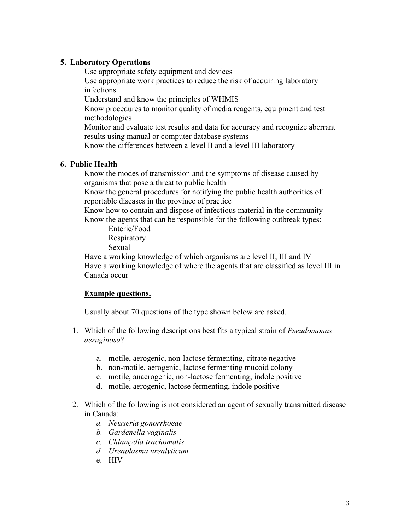#### **5. Laboratory Operations**

Use appropriate safety equipment and devices

Use appropriate work practices to reduce the risk of acquiring laboratory infections

Understand and know the principles of WHMIS

Know procedures to monitor quality of media reagents, equipment and test methodologies

Monitor and evaluate test results and data for accuracy and recognize aberrant results using manual or computer database systems

Know the differences between a level II and a level III laboratory

### **6. Public Health**

Know the modes of transmission and the symptoms of disease caused by organisms that pose a threat to public health

Know the general procedures for notifying the public health authorities of reportable diseases in the province of practice

Know how to contain and dispose of infectious material in the community Know the agents that can be responsible for the following outbreak types:

Enteric/Food Respiratory Sexual

Have a working knowledge of which organisms are level II, III and IV Have a working knowledge of where the agents that are classified as level III in Canada occur

## **Example questions.**

Usually about 70 questions of the type shown below are asked.

- 1. Which of the following descriptions best fits a typical strain of *Pseudomonas aeruginosa*?
	- a. motile, aerogenic, non-lactose fermenting, citrate negative
	- b. non-motile, aerogenic, lactose fermenting mucoid colony
	- c. motile, anaerogenic, non-lactose fermenting, indole positive
	- d. motile, aerogenic, lactose fermenting, indole positive
- 2. Which of the following is not considered an agent of sexually transmitted disease in Canada:
	- *a. Neisseria gonorrhoeae*
	- *b. Gardenella vaginalis*
	- *c. Chlamydia trachomatis*
	- *d. Ureaplasma urealyticum*
	- e. HIV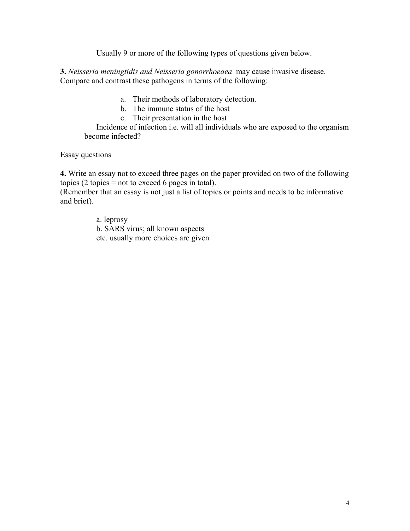Usually 9 or more of the following types of questions given below.

**3.** *Neisseria meningtidis and Neisseria gonorrhoeaea* may cause invasive disease. Compare and contrast these pathogens in terms of the following:

- a. Their methods of laboratory detection.
- b. The immune status of the host
- c. Their presentation in the host

Incidence of infection i.e. will all individuals who are exposed to the organism become infected?

Essay questions

**4.** Write an essay not to exceed three pages on the paper provided on two of the following topics (2 topics  $=$  not to exceed 6 pages in total).

(Remember that an essay is not just a list of topics or points and needs to be informative and brief).

> a. leprosy b. SARS virus; all known aspects etc. usually more choices are given